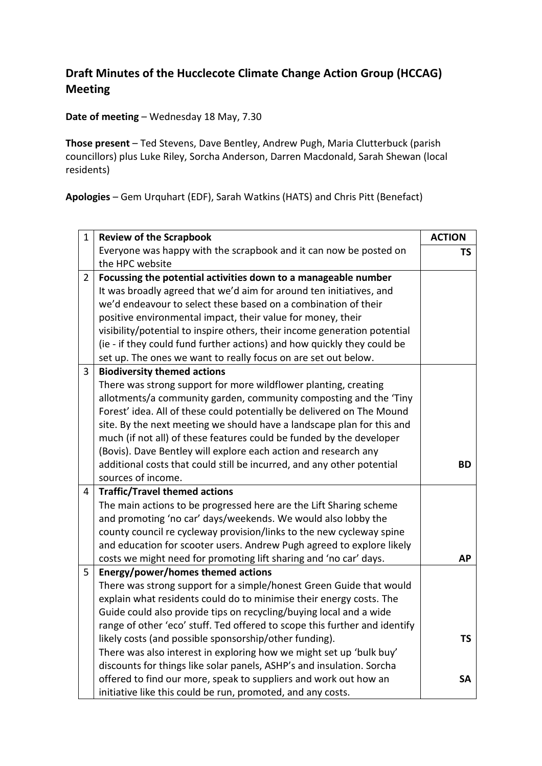## **Draft Minutes of the Hucclecote Climate Change Action Group (HCCAG) Meeting**

**Date of meeting** – Wednesday 18 May, 7.30

**Those present** – Ted Stevens, Dave Bentley, Andrew Pugh, Maria Clutterbuck (parish councillors) plus Luke Riley, Sorcha Anderson, Darren Macdonald, Sarah Shewan (local residents)

**Apologies** – Gem Urquhart (EDF), Sarah Watkins (HATS) and Chris Pitt (Benefact)

| $\mathbf{1}$   | <b>Review of the Scrapbook</b>                                             | <b>ACTION</b> |
|----------------|----------------------------------------------------------------------------|---------------|
|                | Everyone was happy with the scrapbook and it can now be posted on          | <b>TS</b>     |
|                | the HPC website                                                            |               |
| $\overline{2}$ | Focussing the potential activities down to a manageable number             |               |
|                | It was broadly agreed that we'd aim for around ten initiatives, and        |               |
|                | we'd endeavour to select these based on a combination of their             |               |
|                | positive environmental impact, their value for money, their                |               |
|                | visibility/potential to inspire others, their income generation potential  |               |
|                | (ie - if they could fund further actions) and how quickly they could be    |               |
|                | set up. The ones we want to really focus on are set out below.             |               |
| 3              | <b>Biodiversity themed actions</b>                                         |               |
|                | There was strong support for more wildflower planting, creating            |               |
|                | allotments/a community garden, community composting and the 'Tiny          |               |
|                | Forest' idea. All of these could potentially be delivered on The Mound     |               |
|                | site. By the next meeting we should have a landscape plan for this and     |               |
|                | much (if not all) of these features could be funded by the developer       |               |
|                | (Bovis). Dave Bentley will explore each action and research any            |               |
|                | additional costs that could still be incurred, and any other potential     | <b>BD</b>     |
|                | sources of income.                                                         |               |
| 4              | <b>Traffic/Travel themed actions</b>                                       |               |
|                | The main actions to be progressed here are the Lift Sharing scheme         |               |
|                | and promoting 'no car' days/weekends. We would also lobby the              |               |
|                | county council re cycleway provision/links to the new cycleway spine       |               |
|                | and education for scooter users. Andrew Pugh agreed to explore likely      |               |
|                | costs we might need for promoting lift sharing and 'no car' days.          | АP            |
| 5              | Energy/power/homes themed actions                                          |               |
|                | There was strong support for a simple/honest Green Guide that would        |               |
|                | explain what residents could do to minimise their energy costs. The        |               |
|                | Guide could also provide tips on recycling/buying local and a wide         |               |
|                | range of other 'eco' stuff. Ted offered to scope this further and identify |               |
|                | likely costs (and possible sponsorship/other funding).                     | <b>TS</b>     |
|                | There was also interest in exploring how we might set up 'bulk buy'        |               |
|                | discounts for things like solar panels, ASHP's and insulation. Sorcha      |               |
|                | offered to find our more, speak to suppliers and work out how an           | <b>SA</b>     |
|                | initiative like this could be run, promoted, and any costs.                |               |